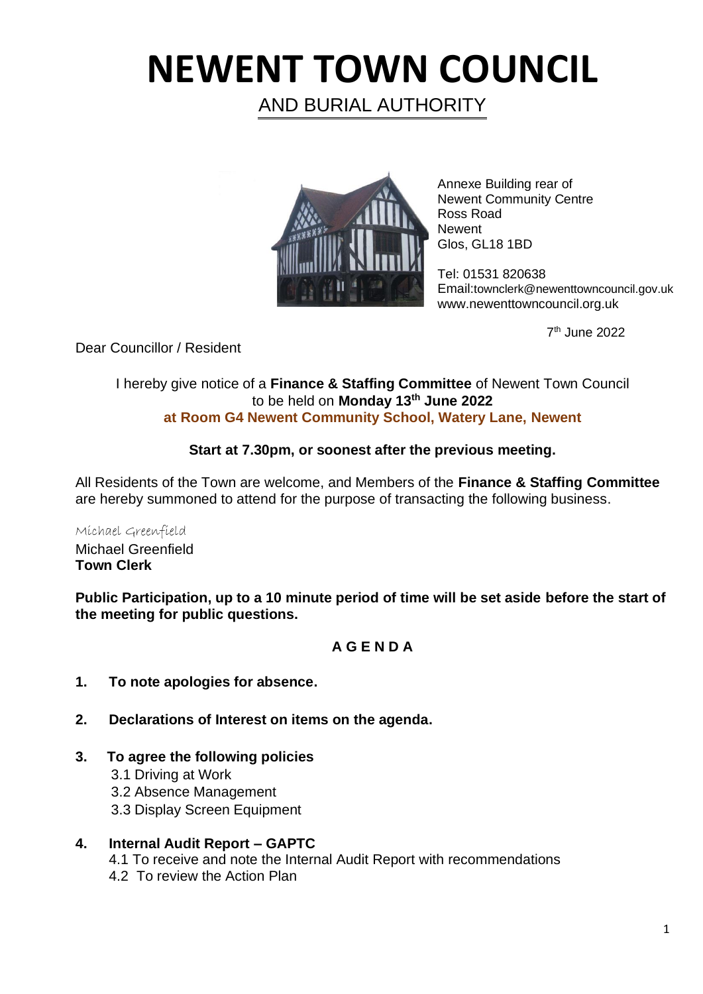# **NEWENT TOWN COUNCIL**

AND BURIAL AUTHORITY



Annexe Building rear of Newent Community Centre Ross Road Newent Glos, GL18 1BD

Tel: 01531 820638 Email:townclerk@newenttowncouncil.gov.uk www.newenttowncouncil.org.uk

7 th June 2022

Dear Councillor / Resident

#### I hereby give notice of a **Finance & Staffing Committee** of Newent Town Council to be held on **Monday 13th June 2022 at Room G4 Newent Community School, Watery Lane, Newent**

### **Start at 7.30pm, or soonest after the previous meeting.**

All Residents of the Town are welcome, and Members of the **Finance & Staffing Committee** are hereby summoned to attend for the purpose of transacting the following business.

Michael Greenfield Michael Greenfield **Town Clerk**

**Public Participation, up to a 10 minute period of time will be set aside before the start of the meeting for public questions.**

## **A G E N D A**

- **1. To note apologies for absence.**
- **2. Declarations of Interest on items on the agenda.**
- **3. To agree the following policies** 
	- 3.1 Driving at Work
	- 3.2 Absence Management
	- 3.3 Display Screen Equipment
- **4. Internal Audit Report – GAPTC**  4.1 To receive and note the Internal Audit Report with recommendations 4.2 To review the Action Plan